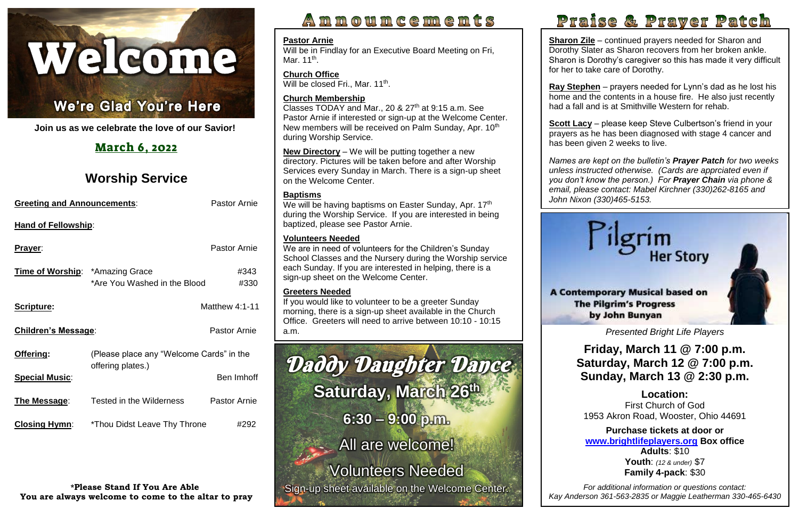

### I Ĩ

**Join us as we celebrate the love of our Savior!**

# March 6, 2022

# **Worship Service**

| <b>Greeting and Announcements:</b>     |                                          | <b>Pastor Arnie</b>   |  |
|----------------------------------------|------------------------------------------|-----------------------|--|
| <b>Hand of Fellowship:</b>             |                                          |                       |  |
| <b>Prayer:</b>                         |                                          | <b>Pastor Arnie</b>   |  |
| <b>Time of Worship:</b> *Amazing Grace | *Are You Washed in the Blood             | #343<br>#330          |  |
| Scripture:                             |                                          | <b>Matthew 4:1-11</b> |  |
| <b>Children's Message:</b>             |                                          | <b>Pastor Arnie</b>   |  |
| Offering:                              | (Please place any "Welcome Cards" in the |                       |  |
| <b>Special Music:</b>                  | offering plates.)                        | Ben Imhoff            |  |
| The Message:                           | Tested in the Wilderness                 | <b>Pastor Arnie</b>   |  |
| <b>Closing Hymn:</b>                   | *Thou Didst Leave Thy Throne             | #292                  |  |

**Sharon Zile** – continued prayers needed for Sharon and Dorothy Slater as Sharon recovers from her broken ankle. Sharon is Dorothy's caregiver so this has made it very difficult for her to take care of Dorothy.

**\*Please Stand If You Are Able You are always welcome to come to the altar to pray**

# Announcements

<u>scott Lacy</u> – piease keep steve Cuipertson's friend in your<br>prayers as he has been diagnosed with stage 4 cancer and **Scott Lacy** – please keep Steve Culbertson's friend in your has been given 2 weeks to live.



Will be in Findlay for an Executive Board Meeting on Fri, Mar. 11<sup>th</sup>.

**Church Office** Will be closed Fri., Mar. 11<sup>th</sup>.

Classes TODAY and Mar., 20  $\&$  27<sup>th</sup> at 9:15 a.m. See Pastor Arnie if interested or sign-up at the Welcome Center. New members will be received on Palm Sunday, Apr. 10<sup>th</sup> during Worship Service.

**Ray Stephen** – prayers needed for Lynn's dad as he lost his home and the contents in a house fire. He also just recently had a fall and is at Smithville Western for rehab.

 *Names are kept on the bulletin's Prayer Patch for two weeks you don't know the person.) For Prayer Chain via phone & unless instructed otherwise. (Cards are apprciated even if email, please contact: Mabel Kirchner (330)262-8165 and John Nixon (330)465-5153.*

We will be having baptisms on Easter Sunday, Apr. 17th during the Worship Service. If you are interested in being baptized, please see Pastor Arnie.

#### **Pastor Arnie**

 a.m. *Presented Bright Life Players* If you would like to volunteer to be a greeter Sunday morning, there is a sign-up sheet available in the Church Office. Greeters will need to arrive between 10:10 - 10:15

#### **Church Membership**

 **Friday, March 11 @ 7:00 p.m. Saturday, March 12 @ 7:00 p.m. Sunday, March 13 @ 2:30 p.m.**

 **Location:**  1953 Akron Road, Wooster, Ohio 44691 First Church of God

 **Purchase tickets at door or [www.brightlifeplayers.org](http://www.brightlifeplayers.org/) Box office Youth**: *(12 & under)* \$7  **Family 4-pack**: \$30 **Adults**: \$10

 *For additional information or questions contact: Kay Anderson 361-563-2835 or Maggie Leatherman 330-465-6430*

# Praise & Prayer Patch



**New Directory** – We will be putting together a new directory. Pictures will be taken before and after Worship Services every Sunday in March. There is a sign-up sheet on the Welcome Center.

#### **Baptisms**

#### **Volunteers Needed**

We are in need of volunteers for the Children's Sunday School Classes and the Nursery during the Worship service each Sunday. If you are interested in helping, there is a sign-up sheet on the Welcome Center.

#### **Greeters Needed**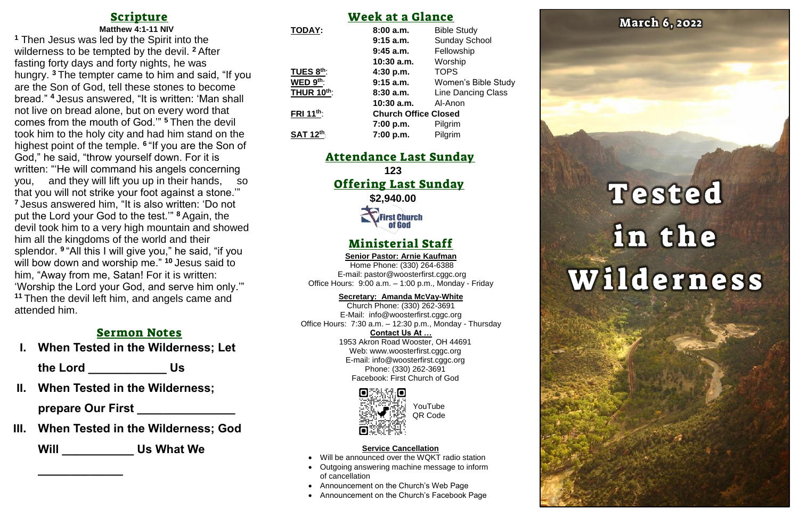# Scripture

#### **Matthew 4:1-11 NIV <sup>1</sup>** Then Jesus was led by the Spirit into the wilderness to be tempted by the devil. **<sup>2</sup>** After fasting forty days and forty nights, he was hungry. **<sup>3</sup>** The tempter came to him and said, "If you are the Son of God, tell these stones to become bread." **<sup>4</sup>** Jesus answered, "It is written: 'Man shall not live on bread alone, but on every word that comes from the mouth of God.'" **<sup>5</sup>** Then the devil took him to the holy city and had him stand on the highest point of the temple. **<sup>6</sup>** "If you are the Son of God," he said, "throw yourself down. For it is written: "'He will command his angels concerning you, and they will lift you up in their hands, that you will not strike your foot against a stone.'" **<sup>7</sup>** Jesus answered him, "It is also written: 'Do not put the Lord your God to the test.'" **<sup>8</sup>** Again, the devil took him to a very high mountain and showed him all the kingdoms of the world and their splendor. **<sup>9</sup>** "All this I will give you," he said, "if you will bow down and worship me." **<sup>10</sup>** Jesus said to him, "Away from me, Satan! For it is written: 'Worship the Lord your God, and serve him only.'" **<sup>11</sup>** Then the devil left him, and angels came and attended him.

**123** Offering Last Sunday **\$2,940.00 First Church**<br>**of God** 

## Sermon Notes

**I. When Tested in the Wilderness; Let** 

**the Lord \_\_\_\_\_\_\_\_\_\_\_\_ Us**

**II. When Tested in the Wilderness;** 

**prepare Our First \_\_\_\_\_\_\_\_\_\_\_\_\_\_\_**

**III. When Tested in the Wilderness; God** 

**Will \_\_\_\_\_\_\_\_\_\_\_ Us What We** 

**\_\_\_\_\_\_\_\_\_\_\_\_\_**

# Week at a Glance

| <b>TODAY:</b>          | 8:00a.m.                    | <b>Bible Study</b>         |
|------------------------|-----------------------------|----------------------------|
|                        | $9:15$ a.m.                 | <b>Sunday School</b>       |
|                        | $9:45$ a.m.                 | Fellowship                 |
|                        | 10:30 a.m.                  | Worship                    |
| TUES 8th:              | 4:30 p.m.                   | <b>TOPS</b>                |
| WED 9th:               | $9:15$ a.m.                 | <b>Women's Bible Study</b> |
| <b>THUR 10th:</b>      | 8:30a.m.                    | <b>Line Dancing Class</b>  |
|                        | 10:30 a.m.                  | Al-Anon                    |
| FRI 11 <sup>th</sup> : | <b>Church Office Closed</b> |                            |
|                        | 7:00 p.m.                   | Pilgrim                    |
| <b>SAT 12th</b>        | 7:00 p.m.                   | Pilgrim                    |

# Attendance Last Sunday

# Ministerial Staff

**Senior Pastor: Arnie Kaufman** Home Phone: (330) 264-6388

E-mail: [pastor@woosterfirst.cggc.org](mailto:pastor@woosterfirst.cggc.org) Office Hours: 9:00 a.m. – 1:00 p.m., Monday - Friday

#### **Secretary: Amanda McVay-White**

Church Phone: (330) 262-3691 E-Mail: info@woosterfirst.cggc.org Office Hours: 7:30 a.m. – 12:30 p.m., Monday - Thursday **Contact Us At …** 1953 Akron Road Wooster, OH 44691 Web: [www.woosterfirst.cggc.org](http://www.woosterfirst.cggc.org/) E-mail: info@woosterfirst.cggc.org Phone: (330) 262-3691 Facebook: First Church of God



#### **Service Cancellation**

- Will be announced over the WQKT radio station
- Outgoing answering machine message to inform of cancellation
- Announcement on the Church's Web Page
- Announcement on the Church's Facebook Page



# Tested in the Wilderness

YouTube QR Code